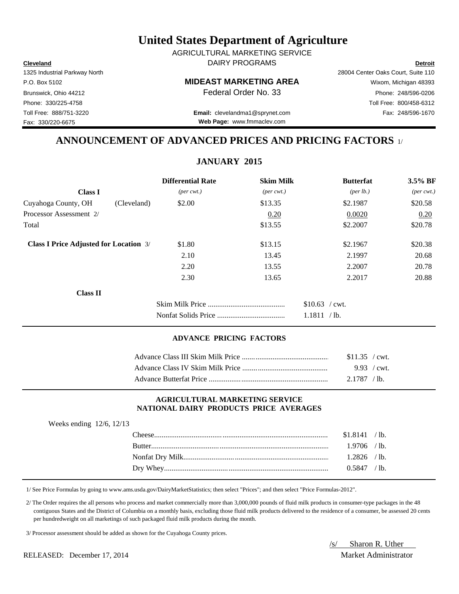**Cleveland Detroit** DAIRY PROGRAMS AGRICULTURAL MARKETING SERVICE

## P.O. Box 5102 **MIDEAST MARKETING AREA** Wixom, Michigan 48393

1325 Industrial Parkway North 28004 Center Oaks Court, Suite 110 Brunswick, Ohio 44212 **Phone: 248/596-0206 Federal Order No. 33** Phone: 248/596-0206 Phone: 330/225-4758 Toll Free: 800/458-6312

Toll Free: 888/751-3220 Fax: 248/596-1670 **Email:** clevelandma1@sprynet.com **Web Page:** www.fmmaclev.com

# **ANNOUNCEMENT OF ADVANCED PRICES AND PRICING FACTORS** 1/

**JANUARY 2015**

|                                               | <b>Differential Rate</b>    | <b>Skim Milk</b>            | <b>Butterfat</b>     | 3.5% BF                     |
|-----------------------------------------------|-----------------------------|-----------------------------|----------------------|-----------------------------|
| <b>Class I</b>                                | $(\text{per} \text{ cwt.})$ | $(\text{per} \text{ cwt.})$ | ${\rm (per \, lb.)}$ | $(\text{per} \text{ cwt.})$ |
| Cuyahoga County, OH<br>(Cleveland)            | \$2.00                      | \$13.35                     | \$2.1987             | \$20.58                     |
| Processor Assessment 2/                       |                             | 0.20                        | 0.0020               | 0.20                        |
| Total                                         |                             | \$13.55                     | \$2.2007             | \$20.78                     |
| <b>Class I Price Adjusted for Location 3/</b> | \$1.80                      | \$13.15                     | \$2.1967             | \$20.38                     |
|                                               | 2.10                        | 13.45                       | 2.1997               | 20.68                       |
|                                               | 2.20                        | 13.55                       | 2.2007               | 20.78                       |
|                                               | 2.30                        | 13.65                       | 2.2017               | 20.88                       |
| <b>Class II</b>                               |                             |                             |                      |                             |
|                                               |                             |                             | $$10.63$ / cwt.      |                             |
|                                               |                             |                             | 1.1811<br>$/$ lb.    |                             |

## **ADVANCE PRICING FACTORS**

| \$11.35 / cwt.        |  |
|-----------------------|--|
| $9.93 / \text{cwt}$ . |  |
| 2.1787 / lb.          |  |

## **AGRICULTURAL MARKETING SERVICE NATIONAL DAIRY PRODUCTS PRICE AVERAGES**

| Weeks ending $12/6$ , $12/13$ |                |  |
|-------------------------------|----------------|--|
|                               | $$1.8141$ /lb. |  |
|                               | $1.9706$ /lb.  |  |
|                               | $1.2826$ /lb.  |  |
|                               | $0.5847$ /lb.  |  |
|                               |                |  |

1/ See Price Formulas by going to www.ams.usda.gov/DairyMarketStatistics; then select "Prices"; and then select "Price Formulas-2012".

 2/ The Order requires the all persons who process and market commercially more than 3,000,000 pounds of fluid milk products in consumer-type packages in the 48 contiguous States and the District of Columbia on a monthly basis, excluding those fluid milk products delivered to the residence of a consumer, be assessed 20 cents per hundredweight on all marketings of such packaged fluid milk products during the month.

3/ Processor assessment should be added as shown for the Cuyahoga County prices.

RELEASED: December 17, 2014 Market Administrator

/s/ Sharon R. Uther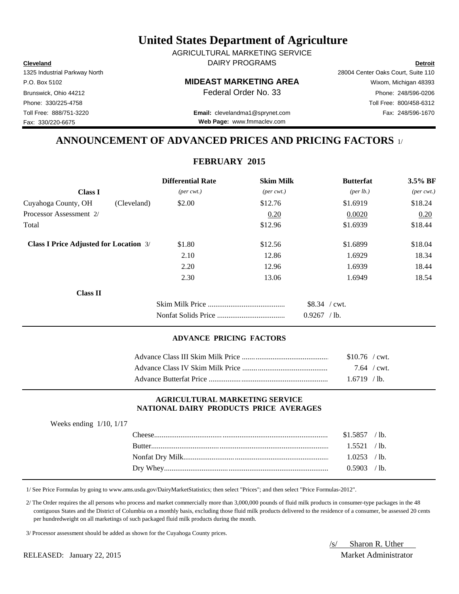**Cleveland Detroit** DAIRY PROGRAMS AGRICULTURAL MARKETING SERVICE

## P.O. Box 5102 **MIDEAST MARKETING AREA** Wixom, Michigan 48393

Toll Free: 888/751-3220 Fax: 248/596-1670 **Email:** clevelandma1@sprynet.com **Web Page:** www.fmmaclev.com

1325 Industrial Parkway North 28004 Center Oaks Court, Suite 110 Brunswick, Ohio 44212 **Phone: 248/596-0206 Federal Order No. 33** Phone: 248/596-0206 Phone: 330/225-4758 Toll Free: 800/458-6312

# **ANNOUNCEMENT OF ADVANCED PRICES AND PRICING FACTORS** 1/

## **FEBRUARY 2015**

|                                               |             | <b>Differential Rate</b>    | <b>Skim Milk</b>            | <b>Butterfat</b>                | $3.5\%$ BF                  |
|-----------------------------------------------|-------------|-----------------------------|-----------------------------|---------------------------------|-----------------------------|
| <b>Class I</b>                                |             | $(\text{per} \text{ cwt.})$ | $(\text{per} \text{ cwt.})$ | ${\rm (per \, lb.)}$            | $(\text{per} \text{ cwt.})$ |
| Cuyahoga County, OH                           | (Cleveland) | \$2.00                      | \$12.76                     | \$1.6919                        | \$18.24                     |
| Processor Assessment 2/                       |             |                             | 0.20                        | 0.0020                          | 0.20                        |
| Total                                         |             |                             | \$12.96                     | \$1.6939                        | \$18.44                     |
| <b>Class I Price Adjusted for Location 3/</b> |             | \$1.80                      | \$12.56                     | \$1.6899                        | \$18.04                     |
|                                               |             | 2.10                        | 12.86                       | 1.6929                          | 18.34                       |
|                                               |             | 2.20                        | 12.96                       | 1.6939                          | 18.44                       |
|                                               |             | 2.30                        | 13.06                       | 1.6949                          | 18.54                       |
| <b>Class II</b>                               |             |                             |                             |                                 |                             |
|                                               |             |                             |                             | $$8.34$ / cwt.<br>$0.9267$ /lb. |                             |

## **ADVANCE PRICING FACTORS**

| $$10.76$ / cwt. |  |
|-----------------|--|
| 7.64 / cwt.     |  |
| $1.6719$ /lb.   |  |

## **AGRICULTURAL MARKETING SERVICE NATIONAL DAIRY PRODUCTS PRICE AVERAGES**

| Weeks ending $1/10$ , $1/17$ |                |  |
|------------------------------|----------------|--|
|                              | $$1.5857$ /lb. |  |
|                              | 1.5521 / lb.   |  |
|                              | $1.0253$ /lb.  |  |
|                              | $0.5903$ /lb.  |  |
|                              |                |  |

1/ See Price Formulas by going to www.ams.usda.gov/DairyMarketStatistics; then select "Prices"; and then select "Price Formulas-2012".

 2/ The Order requires the all persons who process and market commercially more than 3,000,000 pounds of fluid milk products in consumer-type packages in the 48 contiguous States and the District of Columbia on a monthly basis, excluding those fluid milk products delivered to the residence of a consumer, be assessed 20 cents per hundredweight on all marketings of such packaged fluid milk products during the month.

3/ Processor assessment should be added as shown for the Cuyahoga County prices.

RELEASED: January 22, 2015 Market Administrator

/s/ Sharon R. Uther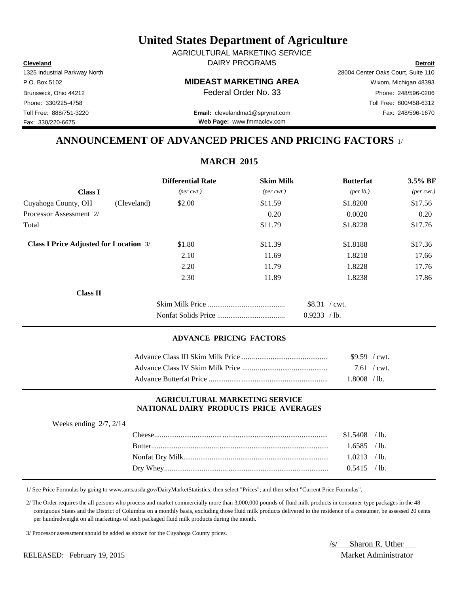**Cleveland Detroit** DAIRY PROGRAMS AGRICULTURAL MARKETING SERVICE

## P.O. Box 5102 **MIDEAST MARKETING AREA** Wixom, Michigan 48393

Toll Free: 888/751-3220 Fax: 248/596-1670 **Email:** clevelandma1@sprynet.com **Web Page:** www.fmmaclev.com

1325 Industrial Parkway North 28004 Center Oaks Court, Suite 110 Brunswick, Ohio 44212 **Phone: 248/596-0206 Federal Order No. 33** Phone: 248/596-0206 Phone: 330/225-4758 Toll Free: 800/458-6312

**ANNOUNCEMENT OF ADVANCED PRICES AND PRICING FACTORS** 1/

|                                               |             | <b>Differential Rate</b>    | <b>Skim Milk</b>            | <b>Butterfat</b>               | $3.5\%$ BF                  |
|-----------------------------------------------|-------------|-----------------------------|-----------------------------|--------------------------------|-----------------------------|
| <b>Class I</b>                                |             | $(\text{per} \text{ cwt.})$ | $(\text{per} \text{ cwt.})$ | ${\rm (per \, lb.)}$           | $(\text{per} \text{ cwt.})$ |
| Cuyahoga County, OH                           | (Cleveland) | \$2.00                      | \$11.59                     | \$1.8208                       | \$17.56                     |
| Processor Assessment 2/                       |             |                             | 0.20                        | 0.0020                         | 0.20                        |
| Total                                         |             |                             | \$11.79                     | \$1.8228                       | \$17.76                     |
| <b>Class I Price Adjusted for Location 3/</b> |             | \$1.80                      | \$11.39                     | \$1.8188                       | \$17.36                     |
|                                               |             | 2.10                        | 11.69                       | 1.8218                         | 17.66                       |
|                                               |             | 2.20                        | 11.79                       | 1.8228                         | 17.76                       |
|                                               |             | 2.30                        | 11.89                       | 1.8238                         | 17.86                       |
| <b>Class II</b>                               |             |                             |                             |                                |                             |
|                                               |             |                             |                             | $$8.31$ / cwt.<br>0.9233 / lb. |                             |

## **ADVANCE PRICING FACTORS**

| $$9.59$ / cwt. |  |
|----------------|--|
| 7.61 / $cwt$ . |  |
| 1.8008 /lb.    |  |

## **AGRICULTURAL MARKETING SERVICE NATIONAL DAIRY PRODUCTS PRICE AVERAGES**

| - |  |                |  |
|---|--|----------------|--|
|   |  | $$1.5408$ /lb. |  |
|   |  | $1.6585$ /lb.  |  |
|   |  | $1.0213$ /lb.  |  |
|   |  | $0.5415$ /lb.  |  |
|   |  |                |  |

1/ See Price Formulas by going to www.ams.usda.gov/DairyMarketStatistics; then select "Prices"; and then select "Current Price Formulas".

 2/ The Order requires the all persons who process and market commercially more than 3,000,000 pounds of fluid milk products in consumer-type packages in the 48 contiguous States and the District of Columbia on a monthly basis, excluding those fluid milk products delivered to the residence of a consumer, be assessed 20 cents per hundredweight on all marketings of such packaged fluid milk products during the month.

3/ Processor assessment should be added as shown for the Cuyahoga County prices.

RELEASED: February 19, 2015 Market Administrator

Weeks ending 2/7, 2/14

/s/ Sharon R. Uther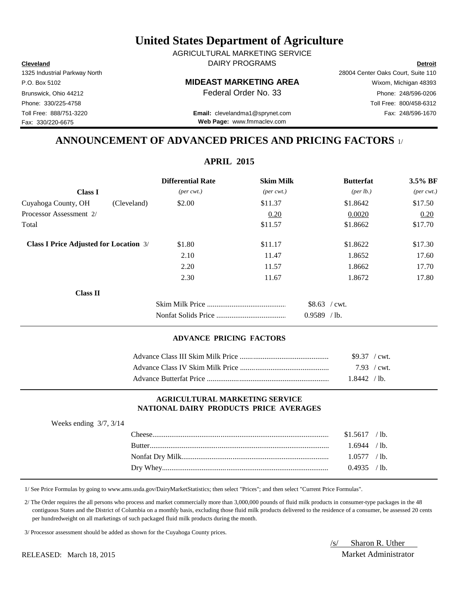**Cleveland Detroit** DAIRY PROGRAMS AGRICULTURAL MARKETING SERVICE

P.O. Box 5102 **MIDEAST MARKETING AREA** Wixom, Michigan 48393

Toll Free: 888/751-3220 Fax: 248/596-1670 **Email:** clevelandma1@sprynet.com **Web Page:** www.fmmaclev.com

1325 Industrial Parkway North 28004 Center Oaks Court, Suite 110 Brunswick, Ohio 44212 **Phone: 248/596-0206 Federal Order No. 33** Phone: 248/596-0206 Phone: 330/225-4758 Toll Free: 800/458-6312

# **ANNOUNCEMENT OF ADVANCED PRICES AND PRICING FACTORS** 1/

**APRIL 2015**

|                                               |             | <b>Differential Rate</b>    | <b>Skim Milk</b>            | <b>Butterfat</b>   | 3.5% BF                     |
|-----------------------------------------------|-------------|-----------------------------|-----------------------------|--------------------|-----------------------------|
| <b>Class I</b>                                |             | $(\text{per} \text{ cwt.})$ | $(\text{per} \text{ cwt.})$ | $(\text{per lb.})$ | $(\text{per} \text{ cwt.})$ |
| Cuyahoga County, OH                           | (Cleveland) | \$2.00                      | \$11.37                     | \$1.8642           | \$17.50                     |
| Processor Assessment 2/                       |             |                             | 0.20                        | 0.0020             | 0.20                        |
| Total                                         |             |                             | \$11.57                     | \$1.8662           | \$17.70                     |
| <b>Class I Price Adjusted for Location 3/</b> |             | \$1.80                      | \$11.17                     | \$1.8622           | \$17.30                     |
|                                               |             | 2.10                        | 11.47                       | 1.8652             | 17.60                       |
|                                               |             | 2.20                        | 11.57                       | 1.8662             | 17.70                       |
|                                               |             | 2.30                        | 11.67                       | 1.8672             | 17.80                       |
| <b>Class II</b>                               |             |                             |                             |                    |                             |
|                                               |             |                             |                             | $$8.63$ / cwt.     |                             |
|                                               |             |                             |                             | $0.9589$ /lb.      |                             |
|                                               |             |                             |                             |                    |                             |

## **ADVANCE PRICING FACTORS**

| $$9.37$ / cwt. |  |
|----------------|--|
| 7.93 / cwt.    |  |
| $1.8442$ /lb.  |  |

## **AGRICULTURAL MARKETING SERVICE NATIONAL DAIRY PRODUCTS PRICE AVERAGES**

| Weeks ending $3/7$ , $3/14$ |                |  |
|-----------------------------|----------------|--|
|                             | $$1.5617$ /lb. |  |
|                             | $1.6944$ / lb. |  |
|                             | 1.0577 / lb.   |  |
|                             | $0.4935$ /lb.  |  |
|                             |                |  |

1/ See Price Formulas by going to www.ams.usda.gov/DairyMarketStatistics; then select "Prices"; and then select "Current Price Formulas".

 2/ The Order requires the all persons who process and market commercially more than 3,000,000 pounds of fluid milk products in consumer-type packages in the 48 contiguous States and the District of Columbia on a monthly basis, excluding those fluid milk products delivered to the residence of a consumer, be assessed 20 cents per hundredweight on all marketings of such packaged fluid milk products during the month.

3/ Processor assessment should be added as shown for the Cuyahoga County prices.

/s/ Sharon R. Uther

RELEASED: March 18, 2015 Market Administrator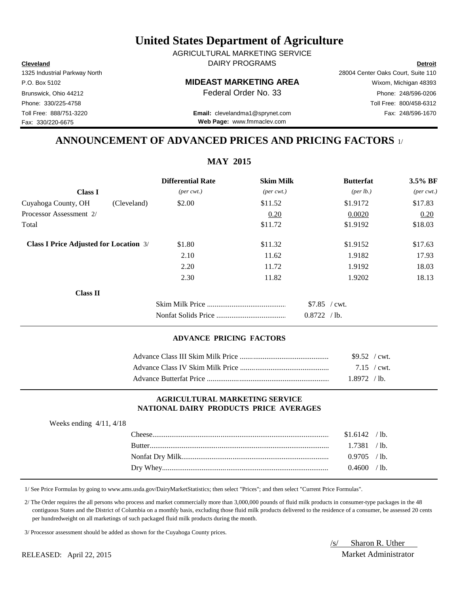**Cleveland Detroit** DAIRY PROGRAMS AGRICULTURAL MARKETING SERVICE

P.O. Box 5102 **MIDEAST MARKETING AREA** Wixom, Michigan 48393

Toll Free: 888/751-3220 Fax: 248/596-1670 **Email:** clevelandma1@sprynet.com **Web Page:** www.fmmaclev.com

# **ANNOUNCEMENT OF ADVANCED PRICES AND PRICING FACTORS** 1/

|                                               | <b>Differential Rate</b>    | <b>Skim Milk</b>            | <b>Butterfat</b>   | 3.5% BF                     |
|-----------------------------------------------|-----------------------------|-----------------------------|--------------------|-----------------------------|
| <b>Class I</b>                                | $(\text{per} \text{ cwt.})$ | $(\text{per} \text{ cwt.})$ | $(\text{per lb.})$ | $(\text{per} \text{ cwt.})$ |
| Cuyahoga County, OH<br>(Cleveland)            | \$2.00                      | \$11.52                     | \$1.9172           | \$17.83                     |
| Processor Assessment 2/                       |                             | 0.20                        | 0.0020             | 0.20                        |
| Total                                         |                             | \$11.72                     | \$1.9192           | \$18.03                     |
| <b>Class I Price Adjusted for Location 3/</b> | \$1.80                      | \$11.32                     | \$1.9152           | \$17.63                     |
|                                               | 2.10                        | 11.62                       | 1.9182             | 17.93                       |
|                                               | 2.20                        | 11.72                       | 1.9192             | 18.03                       |
|                                               | 2.30                        | 11.82                       | 1.9202             | 18.13                       |
| <b>Class II</b>                               |                             |                             |                    |                             |
|                                               |                             |                             | $$7.85$ / cwt.     |                             |
|                                               |                             |                             | 0.8722 / lb.       |                             |

## **ADVANCE PRICING FACTORS**

| $$9.52$ / cwt. |  |
|----------------|--|
|                |  |
| 1.8972 / lb.   |  |

## **AGRICULTURAL MARKETING SERVICE NATIONAL DAIRY PRODUCTS PRICE AVERAGES**

| Weeks ending $4/11$ , $4/18$ |               |                |                 |
|------------------------------|---------------|----------------|-----------------|
|                              |               | $$1.6142$ /lb. |                 |
|                              | <b>Rutter</b> | 1.7381         | /1 <sub>b</sub> |
|                              |               | $0.9705$ /lb.  |                 |
|                              |               | 0.4600 / lb.   |                 |
|                              |               |                |                 |

1/ See Price Formulas by going to www.ams.usda.gov/DairyMarketStatistics; then select "Prices"; and then select "Current Price Formulas".

 2/ The Order requires the all persons who process and market commercially more than 3,000,000 pounds of fluid milk products in consumer-type packages in the 48 contiguous States and the District of Columbia on a monthly basis, excluding those fluid milk products delivered to the residence of a consumer, be assessed 20 cents per hundredweight on all marketings of such packaged fluid milk products during the month.

3/ Processor assessment should be added as shown for the Cuyahoga County prices.

/s/ Sharon R. Uther RELEASED: April 22, 2015 Market Administrator

## **MAY 2015**

Fax: 330/220-6675

1325 Industrial Parkway North 28004 Center Oaks Court, Suite 110 Brunswick, Ohio 44212 **Phone: 248/596-0206 Federal Order No. 33** Phone: 248/596-0206 Phone: 330/225-4758 Toll Free: 800/458-6312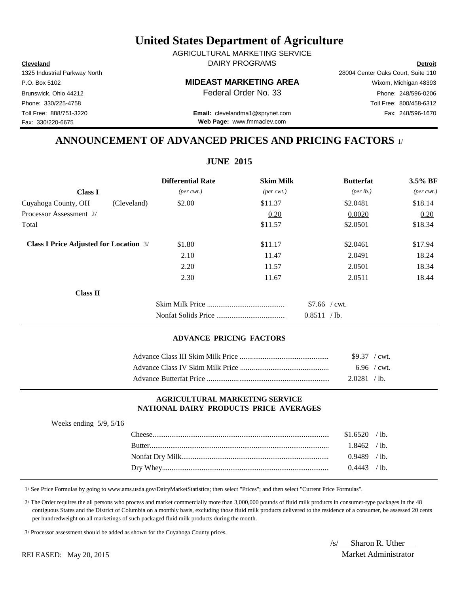**Cleveland Detroit** DAIRY PROGRAMS AGRICULTURAL MARKETING SERVICE

## P.O. Box 5102 **MIDEAST MARKETING AREA** Wixom, Michigan 48393

Toll Free: 888/751-3220 Fax: 248/596-1670 **Email:** clevelandma1@sprynet.com **Web Page:** www.fmmaclev.com

# **ANNOUNCEMENT OF ADVANCED PRICES AND PRICING FACTORS** 1/

|                                               |             | <b>Differential Rate</b>    | <b>Skim Milk</b>            | <b>Butterfat</b>   | 3.5% BF                     |
|-----------------------------------------------|-------------|-----------------------------|-----------------------------|--------------------|-----------------------------|
| <b>Class I</b>                                |             | $(\text{per} \text{ cwt.})$ | $(\text{per} \text{ cwt.})$ | $(\text{per lb.})$ | $(\text{per} \text{ cwt.})$ |
| Cuyahoga County, OH                           | (Cleveland) | \$2.00                      | \$11.37                     | \$2.0481           | \$18.14                     |
| Processor Assessment 2/                       |             |                             | 0.20                        | 0.0020             | 0.20                        |
| Total                                         |             |                             | \$11.57                     | \$2.0501           | \$18.34                     |
| <b>Class I Price Adjusted for Location 3/</b> |             | \$1.80                      | \$11.17                     | \$2.0461           | \$17.94                     |
|                                               |             | 2.10                        | 11.47                       | 2.0491             | 18.24                       |
|                                               |             | 2.20                        | 11.57                       | 2.0501             | 18.34                       |
|                                               |             | 2.30                        | 11.67                       | 2.0511             | 18.44                       |
| <b>Class II</b>                               |             |                             |                             |                    |                             |
|                                               |             |                             |                             | $$7.66$ / cwt.     |                             |
|                                               |             |                             |                             | 0.8511 / lb.       |                             |
|                                               |             |                             |                             |                    |                             |

## **ADVANCE PRICING FACTORS**

| $$9.37$ / cwt.            |  |
|---------------------------|--|
| $6.96$ / cwt.             |  |
| 2.0281<br>/1 <sub>b</sub> |  |

## **AGRICULTURAL MARKETING SERVICE NATIONAL DAIRY PRODUCTS PRICE AVERAGES**

| Weeks ending $5/9$ , $5/16$ |                |  |
|-----------------------------|----------------|--|
|                             | $$1.6520$ /lb. |  |
|                             | $1.8462$ /lb.  |  |
|                             | $0.9489$ /lb.  |  |
|                             | $0.4443$ /lb.  |  |
|                             |                |  |

1/ See Price Formulas by going to www.ams.usda.gov/DairyMarketStatistics; then select "Prices"; and then select "Current Price Formulas".

 2/ The Order requires the all persons who process and market commercially more than 3,000,000 pounds of fluid milk products in consumer-type packages in the 48 contiguous States and the District of Columbia on a monthly basis, excluding those fluid milk products delivered to the residence of a consumer, be assessed 20 cents per hundredweight on all marketings of such packaged fluid milk products during the month.

3/ Processor assessment should be added as shown for the Cuyahoga County prices.

/s/ Sharon R. Uther RELEASED: May 20, 2015 Market Administrator

1325 Industrial Parkway North 28004 Center Oaks Court, Suite 110 Fax: 330/220-6675

Brunswick, Ohio 44212 **Phone: 248/596-0206 Federal Order No. 33** Phone: 248/596-0206 Phone: 330/225-4758 Toll Free: 800/458-6312

**JUNE 2015**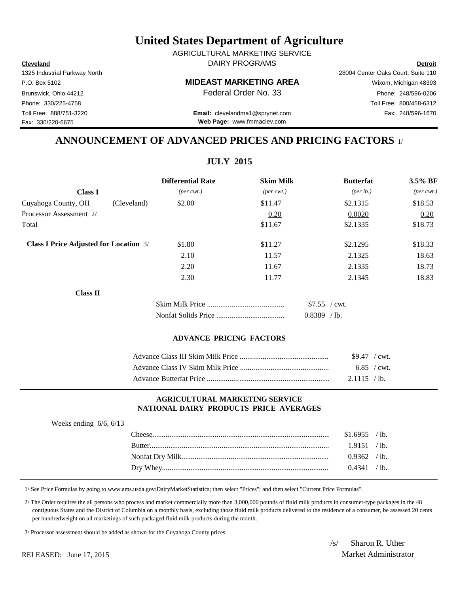**Cleveland Detroit** DAIRY PROGRAMS AGRICULTURAL MARKETING SERVICE

## P.O. Box 5102 **MIDEAST MARKETING AREA** Wixom, Michigan 48393

Toll Free: 888/751-3220 Fax: 248/596-1670 **Email:** clevelandma1@sprynet.com **Web Page:** www.fmmaclev.com

1325 Industrial Parkway North 28004 Center Oaks Court, Suite 110 Brunswick, Ohio 44212 **Phone: 248/596-0206 Federal Order No. 33** Phone: 248/596-0206 Phone: 330/225-4758 Toll Free: 800/458-6312

# **ANNOUNCEMENT OF ADVANCED PRICES AND PRICING FACTORS** 1/

|                                               |             | <b>Differential Rate</b> | <b>Skim Milk</b>            | <b>Butterfat</b>   | 3.5% BF                     |
|-----------------------------------------------|-------------|--------------------------|-----------------------------|--------------------|-----------------------------|
| <b>Class I</b>                                |             | $(per\, cwt.)$           | $(\text{per} \text{ cwt.})$ | $(\text{per lb.})$ | $(\text{per} \text{ cwt.})$ |
| Cuyahoga County, OH                           | (Cleveland) | \$2.00                   | \$11.47                     | \$2.1315           | \$18.53                     |
| Processor Assessment 2/                       |             |                          | 0.20                        | 0.0020             | 0.20                        |
| Total                                         |             |                          | \$11.67                     | \$2.1335           | \$18.73                     |
| <b>Class I Price Adjusted for Location 3/</b> |             | \$1.80                   | \$11.27                     | \$2.1295           | \$18.33                     |
|                                               |             | 2.10                     | 11.57                       | 2.1325             | 18.63                       |
|                                               |             | 2.20                     | 11.67                       | 2.1335             | 18.73                       |
|                                               |             | 2.30                     | 11.77                       | 2.1345             | 18.83                       |
| <b>Class II</b>                               |             |                          |                             |                    |                             |
|                                               |             |                          |                             | $$7.55$ / cwt.     |                             |
|                                               |             |                          |                             | $0.8389$ /lb.      |                             |

## **ADVANCE PRICING FACTORS**

| $$9.47$ / cwt. |
|----------------|
| 6.85 / cwt.    |
| $2.1115$ /lb.  |

## **AGRICULTURAL MARKETING SERVICE NATIONAL DAIRY PRODUCTS PRICE AVERAGES**

| Weeks ending $6/6$ , $6/13$ |                |  |
|-----------------------------|----------------|--|
|                             | $$1.6955$ /lb. |  |
|                             | 1.9151 / lb.   |  |
|                             | $0.9362$ /lb.  |  |
|                             | $0.4341$ /lb.  |  |
|                             |                |  |

1/ See Price Formulas by going to www.ams.usda.gov/DairyMarketStatistics; then select "Prices"; and then select "Current Price Formulas".

 2/ The Order requires the all persons who process and market commercially more than 3,000,000 pounds of fluid milk products in consumer-type packages in the 48 contiguous States and the District of Columbia on a monthly basis, excluding those fluid milk products delivered to the residence of a consumer, be assessed 20 cents per hundredweight on all marketings of such packaged fluid milk products during the month.

3/ Processor assessment should be added as shown for the Cuyahoga County prices.

/s/ Sharon R. Uther RELEASED: June 17, 2015 Market Administrator

## **JULY 2015**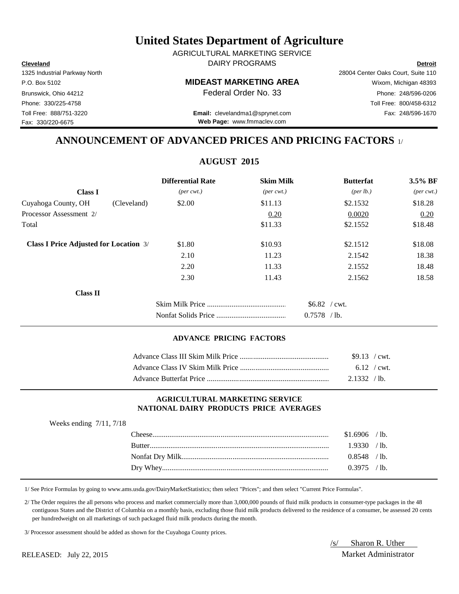**Cleveland Detroit** DAIRY PROGRAMS AGRICULTURAL MARKETING SERVICE

## P.O. Box 5102 **MIDEAST MARKETING AREA** Wixom, Michigan 48393

Toll Free: 888/751-3220 Fax: 248/596-1670 **Email:** clevelandma1@sprynet.com **Web Page:** www.fmmaclev.com

1325 Industrial Parkway North 28004 Center Oaks Court, Suite 110 Brunswick, Ohio 44212 **Phone: 248/596-0206 Federal Order No. 33** Phone: 248/596-0206 Phone: 330/225-4758 Toll Free: 800/458-6312

# **ANNOUNCEMENT OF ADVANCED PRICES AND PRICING FACTORS** 1/

**AUGUST 2015**

|                                               | <b>Differential Rate</b>    | <b>Skim Milk</b>            | <b>Butterfat</b>     | 3.5% BF                     |
|-----------------------------------------------|-----------------------------|-----------------------------|----------------------|-----------------------------|
| <b>Class I</b>                                | $(\text{per} \text{ cwt.})$ | $(\text{per} \text{ cwt.})$ | ${\rm (per \, lb.)}$ | $(\text{per} \text{ cwt.})$ |
| Cuyahoga County, OH                           | \$2.00<br>(Cleveland)       | \$11.13                     | \$2.1532             | \$18.28                     |
| Processor Assessment 2/                       |                             | 0.20                        | 0.0020               | 0.20                        |
| Total                                         |                             | \$11.33                     | \$2.1552             | \$18.48                     |
| <b>Class I Price Adjusted for Location 3/</b> | \$1.80                      | \$10.93                     | \$2.1512             | \$18.08                     |
|                                               | 2.10                        | 11.23                       | 2.1542               | 18.38                       |
|                                               | 2.20                        | 11.33                       | 2.1552               | 18.48                       |
|                                               | 2.30                        | 11.43                       | 2.1562               | 18.58                       |
| Class II                                      |                             |                             |                      |                             |
|                                               |                             |                             | $$6.82$ / cwt.       |                             |
|                                               |                             |                             | $0.7578$ /lb.        |                             |

## **ADVANCE PRICING FACTORS**

| $$9.13$ / cwt. |  |
|----------------|--|
| $6.12$ / cwt.  |  |
| $2.1332$ /lb.  |  |

### **AGRICULTURAL MARKETING SERVICE NATIONAL DAIRY PRODUCTS PRICE AVERAGES**

| Weeks ending $7/11$ , $7/18$ |               |                |  |
|------------------------------|---------------|----------------|--|
|                              |               | $$1.6906$ /lb. |  |
|                              | <b>Butter</b> | 1.9330 / lb.   |  |
|                              |               | $0.8548$ /lb.  |  |
|                              |               | $0.3975$ /lb.  |  |
|                              |               |                |  |

1/ See Price Formulas by going to www.ams.usda.gov/DairyMarketStatistics; then select "Prices"; and then select "Current Price Formulas".

 2/ The Order requires the all persons who process and market commercially more than 3,000,000 pounds of fluid milk products in consumer-type packages in the 48 contiguous States and the District of Columbia on a monthly basis, excluding those fluid milk products delivered to the residence of a consumer, be assessed 20 cents per hundredweight on all marketings of such packaged fluid milk products during the month.

3/ Processor assessment should be added as shown for the Cuyahoga County prices.

/s/ Sharon R. Uther RELEASED: July 22, 2015 Market Administrator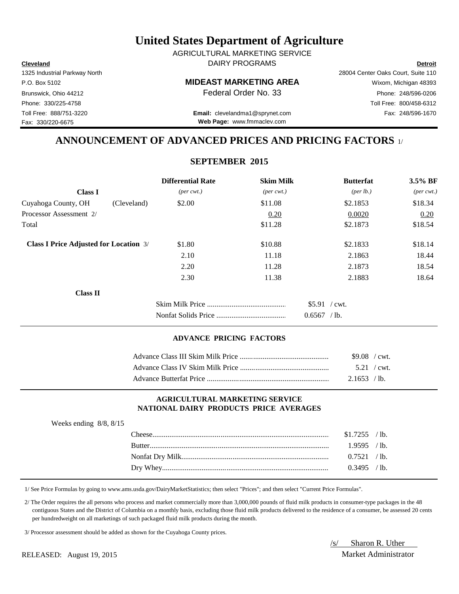**Cleveland Detroit** DAIRY PROGRAMS AGRICULTURAL MARKETING SERVICE

## P.O. Box 5102 **MIDEAST MARKETING AREA** Wixom, Michigan 48393

Brunswick, Ohio 44212 **Phone: 248/596-0206 Federal Order No. 33** Phone: 248/596-0206

Toll Free: 888/751-3220 Fax: 248/596-1670 **Email:** clevelandma1@sprynet.com **Web Page:** www.fmmaclev.com

# **ANNOUNCEMENT OF ADVANCED PRICES AND PRICING FACTORS** 1/

## **SEPTEMBER 2015**

|                                               |             | <b>Differential Rate</b>    | <b>Skim Milk</b>            | <b>Butterfat</b> | 3.5% BF                     |
|-----------------------------------------------|-------------|-----------------------------|-----------------------------|------------------|-----------------------------|
| <b>Class I</b>                                |             | $(\text{per} \text{ cwt.})$ | $(\text{per} \text{ cwt.})$ | (per lb.)        | $(\text{per} \text{ cwt.})$ |
| Cuyahoga County, OH                           | (Cleveland) | \$2.00                      | \$11.08                     | \$2.1853         | \$18.34                     |
| Processor Assessment 2/                       |             |                             | 0.20                        | 0.0020           | 0.20                        |
| Total                                         |             |                             | \$11.28                     | \$2.1873         | \$18.54                     |
| <b>Class I Price Adjusted for Location 3/</b> |             | \$1.80                      | \$10.88                     | \$2.1833         | \$18.14                     |
|                                               |             | 2.10                        | 11.18                       | 2.1863           | 18.44                       |
|                                               |             | 2.20                        | 11.28                       | 2.1873           | 18.54                       |
|                                               |             | 2.30                        | 11.38                       | 2.1883           | 18.64                       |
| Class II                                      |             |                             |                             |                  |                             |
|                                               |             |                             |                             | $$5.91$ / cwt.   |                             |
|                                               |             |                             |                             | $0.6567$ /lb.    |                             |

## **ADVANCE PRICING FACTORS**

| $$9.08$ / cwt. |  |
|----------------|--|
| $5.21$ / cwt.  |  |
| $2.1653$ /lb.  |  |

## **AGRICULTURAL MARKETING SERVICE NATIONAL DAIRY PRODUCTS PRICE AVERAGES**

| Weeks ending $8/8$ , $8/15$ |                |  |
|-----------------------------|----------------|--|
|                             | $$1.7255$ /lb. |  |
|                             | $1.9595$ /lb.  |  |
|                             | $0.7521$ /lb.  |  |
|                             | $0.3495$ /lb.  |  |
|                             |                |  |

1/ See Price Formulas by going to www.ams.usda.gov/DairyMarketStatistics; then select "Prices"; and then select "Current Price Formulas".

 2/ The Order requires the all persons who process and market commercially more than 3,000,000 pounds of fluid milk products in consumer-type packages in the 48 contiguous States and the District of Columbia on a monthly basis, excluding those fluid milk products delivered to the residence of a consumer, be assessed 20 cents per hundredweight on all marketings of such packaged fluid milk products during the month.

3/ Processor assessment should be added as shown for the Cuyahoga County prices.

/s/ Sharon R. Uther

RELEASED: August 19, 2015 Market Administrator

Phone: 330/225-4758 Toll Free: 800/458-6312

Fax: 330/220-6675

1325 Industrial Parkway North 28004 Center Oaks Court, Suite 110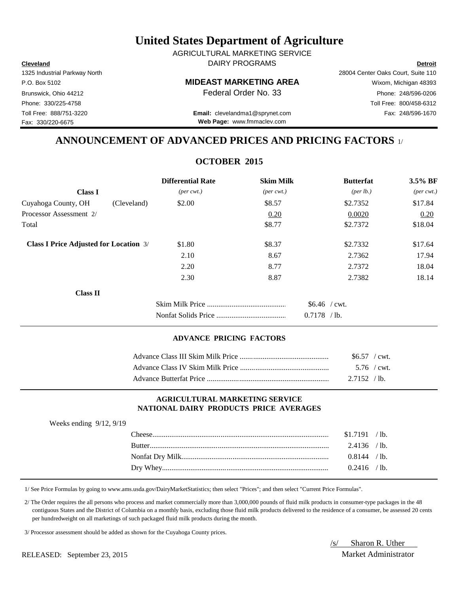**Cleveland Detroit** DAIRY PROGRAMS AGRICULTURAL MARKETING SERVICE

## P.O. Box 5102 **MIDEAST MARKETING AREA** Wixom, Michigan 48393

Toll Free: 888/751-3220 Fax: 248/596-1670 **Email:** clevelandma1@sprynet.com **Web Page:** www.fmmaclev.com

1325 Industrial Parkway North 28004 Center Oaks Court, Suite 110 Brunswick, Ohio 44212 **Phone: 248/596-0206 Federal Order No. 33** Phone: 248/596-0206 Phone: 330/225-4758 Toll Free: 800/458-6312

# **ANNOUNCEMENT OF ADVANCED PRICES AND PRICING FACTORS** 1/

## **OCTOBER 2015**

|                                               | <b>Differential Rate</b>    | <b>Skim Milk</b>            | <b>Butterfat</b>                | $3.5\%$ BF                  |
|-----------------------------------------------|-----------------------------|-----------------------------|---------------------------------|-----------------------------|
| <b>Class I</b>                                | $(\text{per} \text{ cwt.})$ | $(\text{per} \text{ cwt.})$ | ${\rm (per \, lb.)}$            | $(\text{per} \text{ cwt.})$ |
| Cuyahoga County, OH<br>(Cleveland)            | \$2.00                      | \$8.57                      | \$2.7352                        | \$17.84                     |
| Processor Assessment 2/                       |                             | 0.20                        | 0.0020                          | 0.20                        |
| Total                                         |                             | \$8.77                      | \$2.7372                        | \$18.04                     |
| <b>Class I Price Adjusted for Location 3/</b> | \$1.80                      | \$8.37                      | \$2.7332                        | \$17.64                     |
|                                               | 2.10                        | 8.67                        | 2.7362                          | 17.94                       |
|                                               | 2.20                        | 8.77                        | 2.7372                          | 18.04                       |
|                                               | 2.30                        | 8.87                        | 2.7382                          | 18.14                       |
| <b>Class II</b>                               |                             |                             |                                 |                             |
|                                               |                             |                             | $$6.46$ / cwt.<br>$0.7178$ /lb. |                             |

## **ADVANCE PRICING FACTORS**

| $$6.57$ / cwt. |  |
|----------------|--|
| 5.76 / cwt.    |  |
| $2.7152$ /lb.  |  |

## **AGRICULTURAL MARKETING SERVICE NATIONAL DAIRY PRODUCTS PRICE AVERAGES**

| Weeks ending $9/12$ , $9/19$ |                |  |
|------------------------------|----------------|--|
|                              | $$1.7191$ /lb. |  |
|                              | $2.4136$ /lb.  |  |
|                              | 0.8144 / lb.   |  |
|                              | $0.2416$ /lb.  |  |
|                              |                |  |

1/ See Price Formulas by going to www.ams.usda.gov/DairyMarketStatistics; then select "Prices"; and then select "Current Price Formulas".

 2/ The Order requires the all persons who process and market commercially more than 3,000,000 pounds of fluid milk products in consumer-type packages in the 48 contiguous States and the District of Columbia on a monthly basis, excluding those fluid milk products delivered to the residence of a consumer, be assessed 20 cents per hundredweight on all marketings of such packaged fluid milk products during the month.

3/ Processor assessment should be added as shown for the Cuyahoga County prices.

RELEASED: September 23, 2015 Market Administrator

/s/ Sharon R. Uther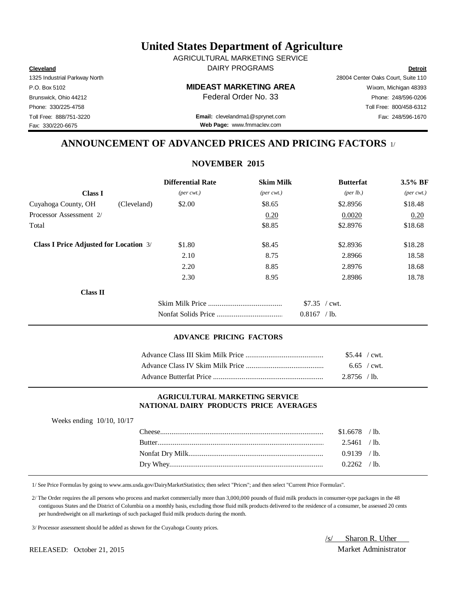**Cleveland Detroit** DAIRY PROGRAMS AGRICULTURAL MARKETING SERVICE

# P.O. Box 5102 Wixom, Michigan 48393 **MIDEAST MARKETING AREA**

Toll Free: 888/751-3220 Fax: 248/596-1670 **Email:** clevelandma1@sprynet.com **Web Page:** www.fmmaclev.com

# **ANNOUNCEMENT OF ADVANCED PRICES AND PRICING FACTORS** 1/

**NOVEMBER 2015**

|                                               | <b>Differential Rate</b>    | <b>Skim Milk</b>            | <b>Butterfat</b>   | 3.5% BF                     |  |
|-----------------------------------------------|-----------------------------|-----------------------------|--------------------|-----------------------------|--|
| <b>Class I</b>                                | $(\text{per} \text{ cwt.})$ | $(\text{per} \text{ cwt.})$ | $(\text{per lb.})$ | $(\text{per} \text{ cwt.})$ |  |
| Cuyahoga County, OH<br>(Cleveland)            | \$2.00                      | \$8.65                      | \$2.8956           | \$18.48                     |  |
| Processor Assessment 2/                       |                             | 0.20                        | 0.0020             | 0.20                        |  |
| Total                                         |                             | \$8.85                      | \$2.8976           | \$18.68                     |  |
| <b>Class I Price Adjusted for Location</b> 3/ | \$1.80                      | \$8.45                      | \$2.8936           | \$18.28                     |  |
|                                               | 2.10                        | 8.75                        | 2.8966             | 18.58                       |  |
|                                               | 2.20                        | 8.85                        | 2.8976             | 18.68                       |  |
|                                               | 2.30                        | 8.95                        | 2.8986             | 18.78                       |  |
| <b>Class II</b>                               |                             |                             |                    |                             |  |
|                                               |                             |                             | \$7.35 / cwt.      |                             |  |
|                                               |                             |                             | $0.8167$ /lb.      |                             |  |

### **ADVANCE PRICING FACTORS**

| $$5.44$ / cwt. |  |
|----------------|--|
| $6.65$ / cwt.  |  |
| $2.8756$ /lb.  |  |

## **AGRICULTURAL MARKETING SERVICE NATIONAL DAIRY PRODUCTS PRICE AVERAGES**

| Weeks ending $10/10$ , $10/17$ |               |                |  |
|--------------------------------|---------------|----------------|--|
|                                |               | $$1.6678$ /lb. |  |
|                                | <b>Butter</b> | 2.5461 / lb.   |  |
|                                |               | $0.9139$ /lb.  |  |
|                                |               | $0.2262$ /lb.  |  |
|                                |               |                |  |

1/ See Price Formulas by going to www.ams.usda.gov/DairyMarketStatistics; then select "Prices"; and then select "Current Price Formulas".

 2/ The Order requires the all persons who process and market commercially more than 3,000,000 pounds of fluid milk products in consumer-type packages in the 48 contiguous States and the District of Columbia on a monthly basis, excluding those fluid milk products delivered to the residence of a consumer, be assessed 20 cents per hundredweight on all marketings of such packaged fluid milk products during the month.

3/ Processor assessment should be added as shown for the Cuyahoga County prices.

RELEASED: October 21, 2015 Market Administrator

/s/ Sharon R. Uther

1325 Industrial Parkway North 28004 Center Oaks Court, Suite 110 Fax: 330/220-6675

Brunswick, Ohio 44212 **Phone: 248/596-0206 Federal Order No. 33** Phone: 248/596-0206 Phone: 330/225-4758 Toll Free: 800/458-6312